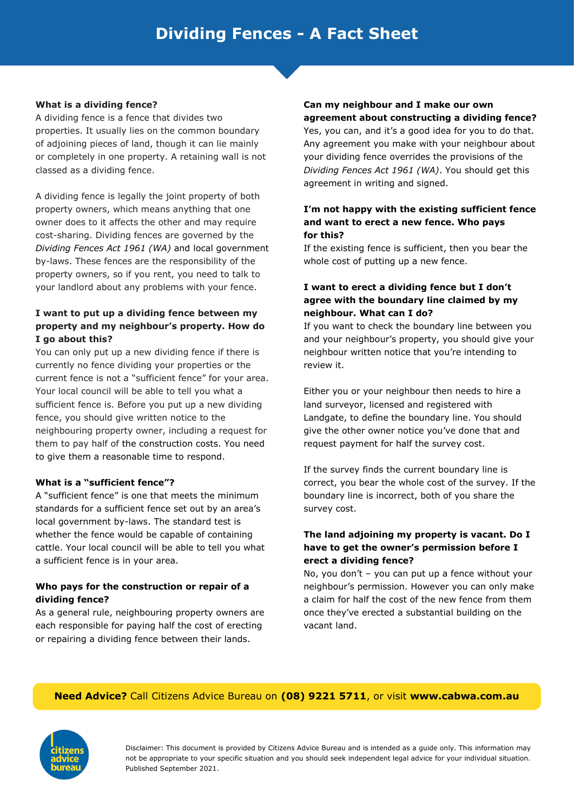#### **What is a dividing fence?**

A dividing fence is a fence that divides two properties. It usually lies on the common boundary of adjoining pieces of land, though it can lie mainly or completely in one property. A retaining wall is not classed as a dividing fence.

A dividing fence is legally the joint property of both property owners, which means anything that one owner does to it affects the other and may require cost-sharing. Dividing fences are governed by the *Dividing Fences Act 1961 (WA)* and local government by-laws. These fences are the responsibility of the property owners, so if you rent, you need to talk to your landlord about any problems with your fence.

# **I want to put up a dividing fence between my property and my neighbour's property. How do I go about this?**

You can only put up a new dividing fence if there is currently no fence dividing your properties or the current fence is not a "sufficient fence" for your area. Your local council will be able to tell you what a sufficient fence is. Before you put up a new dividing fence, you should give written notice to the neighbouring property owner, including a request for them to pay half of the construction costs. You need to give them a reasonable time to respond.

## **What is a "sufficient fence"?**

A "sufficient fence" is one that meets the minimum standards for a sufficient fence set out by an area's local government by-laws. The standard test is whether the fence would be capable of containing cattle. Your local council will be able to tell you what a sufficient fence is in your area.

#### **Who pays for the construction or repair of a dividing fence?**

As a general rule, neighbouring property owners are each responsible for paying half the cost of erecting or repairing a dividing fence between their lands.

# **Can my neighbour and I make our own agreement about constructing a dividing fence?**

Yes, you can, and it's a good idea for you to do that. Any agreement you make with your neighbour about your dividing fence overrides the provisions of the *Dividing Fences Act 1961 (WA)*. You should get this agreement in writing and signed.

#### **I'm not happy with the existing sufficient fence and want to erect a new fence. Who pays for this?**

If the existing fence is sufficient, then you bear the whole cost of putting up a new fence.

#### **I want to erect a dividing fence but I don't agree with the boundary line claimed by my neighbour. What can I do?**

If you want to check the boundary line between you and your neighbour's property, you should give your neighbour written notice that you're intending to review it.

Either you or your neighbour then needs to hire a land surveyor, licensed and registered with Landgate, to define the boundary line. You should give the other owner notice you've done that and request payment for half the survey cost.

If the survey finds the current boundary line is correct, you bear the whole cost of the survey. If the boundary line is incorrect, both of you share the survey cost.

## **The land adjoining my property is vacant. Do I have to get the owner's permission before I erect a dividing fence?**

No, you don't – you can put up a fence without your neighbour's permission. However you can only make a claim for half the cost of the new fence from them once they've erected a substantial building on the vacant land.

## **Need Advice?** Call Citizens Advice Bureau on **(08) 9221 5711**, or visit **www.cabwa.com.au**



Disclaimer: This document is provided by Citizens Advice Bureau and is intended as a guide only. This information may not be appropriate to your specific situation and you should seek independent legal advice for your individual situation. Published September 2021.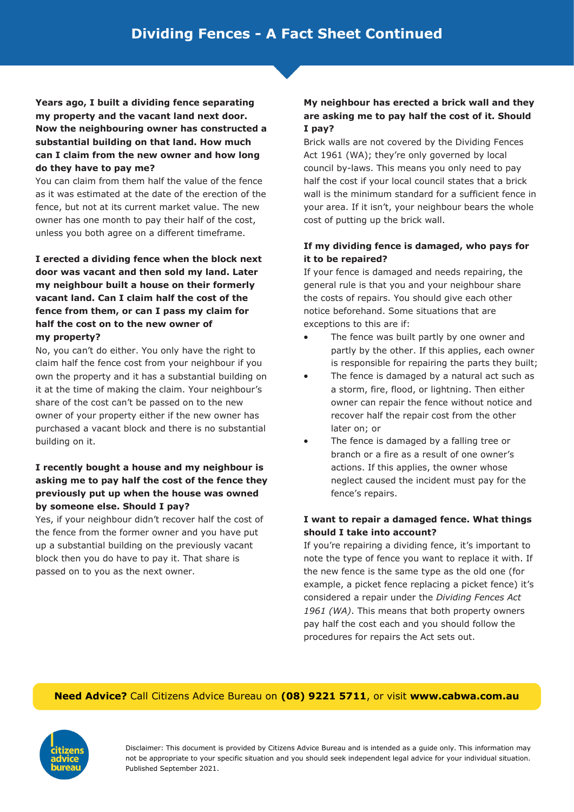**Years ago, I built a dividing fence separating my property and the vacant land next door. Now the neighbouring owner has constructed a substantial building on that land. How much can I claim from the new owner and how long do they have to pay me?**

You can claim from them half the value of the fence as it was estimated at the date of the erection of the fence, but not at its current market value. The new owner has one month to pay their half of the cost, unless you both agree on a different timeframe.

**I erected a dividing fence when the block next door was vacant and then sold my land. Later my neighbour built a house on their formerly vacant land. Can I claim half the cost of the fence from them, or can I pass my claim for half the cost on to the new owner of my property?**

No, you can't do either. You only have the right to claim half the fence cost from your neighbour if you own the property and it has a substantial building on it at the time of making the claim. Your neighbour's share of the cost can't be passed on to the new owner of your property either if the new owner has purchased a vacant block and there is no substantial building on it.

# **I recently bought a house and my neighbour is asking me to pay half the cost of the fence they previously put up when the house was owned by someone else. Should I pay?**

Yes, if your neighbour didn't recover half the cost of the fence from the former owner and you have put up a substantial building on the previously vacant block then you do have to pay it. That share is passed on to you as the next owner.

# **My neighbour has erected a brick wall and they are asking me to pay half the cost of it. Should I pay?**

Brick walls are not covered by the Dividing Fences Act 1961 (WA); they're only governed by local council by-laws. This means you only need to pay half the cost if your local council states that a brick wall is the minimum standard for a sufficient fence in your area. If it isn't, your neighbour bears the whole cost of putting up the brick wall.

# **If my dividing fence is damaged, who pays for it to be repaired?**

If your fence is damaged and needs repairing, the general rule is that you and your neighbour share the costs of repairs. You should give each other notice beforehand. Some situations that are exceptions to this are if:

- The fence was built partly by one owner and partly by the other. If this applies, each owner is responsible for repairing the parts they built;
- The fence is damaged by a natural act such as a storm, fire, flood, or lightning. Then either owner can repair the fence without notice and recover half the repair cost from the other later on; or
- The fence is damaged by a falling tree or branch or a fire as a result of one owner's actions. If this applies, the owner whose neglect caused the incident must pay for the fence's repairs.

## **I want to repair a damaged fence. What things should I take into account?**

If you're repairing a dividing fence, it's important to note the type of fence you want to replace it with. If the new fence is the same type as the old one (for example, a picket fence replacing a picket fence) it's considered a repair under the *Dividing Fences Act 1961 (WA)*. This means that both property owners pay half the cost each and you should follow the procedures for repairs the Act sets out.

# **Need Advice?** Call Citizens Advice Bureau on **(08) 9221 5711**, or visit **www.cabwa.com.au**



Disclaimer: This document is provided by Citizens Advice Bureau and is intended as a guide only. This information may not be appropriate to your specific situation and you should seek independent legal advice for your individual situation. Published September 2021.